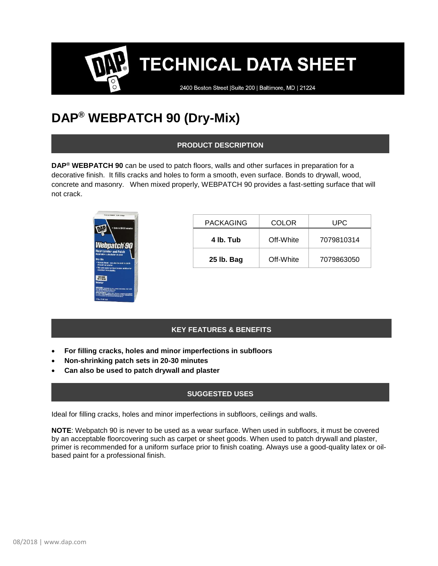2400 Boston Street | Suite 200 | Baltimore, MD | 21224

## **DAP® WEBPATCH 90 (Dry-Mix)**

## **PRODUCT DESCRIPTION**

**DAP® WEBPATCH 90** can be used to patch floors, walls and other surfaces in preparation for a decorative finish. It fills cracks and holes to form a smooth, even surface. Bonds to drywall, wood, concrete and masonry. When mixed properly, WEBPATCH 90 provides a fast-setting surface that will not crack.



| <b>PACKAGING</b> | <b>COLOR</b> | UPC.       |
|------------------|--------------|------------|
| 4 lb. Tub        | Off-White    | 7079810314 |
| 25 lb. Bag       | Off-White    | 7079863050 |

## **KEY FEATURES & BENEFITS**

- **For filling cracks, holes and minor imperfections in subfloors**
- **Non-shrinking patch sets in 20-30 minutes**
- **Can also be used to patch drywall and plaster**

## **SUGGESTED USES**

Ideal for filling cracks, holes and minor imperfections in subfloors, ceilings and walls.

**NOTE**: Webpatch 90 is never to be used as a wear surface. When used in subfloors, it must be covered by an acceptable floorcovering such as carpet or sheet goods. When used to patch drywall and plaster, primer is recommended for a uniform surface prior to finish coating. Always use a good-quality latex or oilbased paint for a professional finish.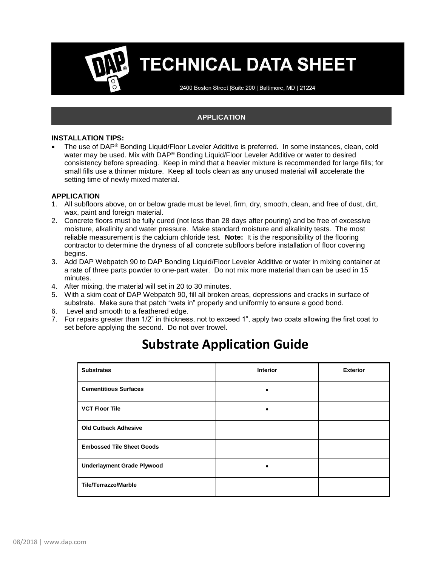2400 Boston Street | Suite 200 | Baltimore, MD | 21224

## **APPLICATION**

### **INSTALLATION TIPS:**

• The use of DAP® Bonding Liquid/Floor Leveler Additive is preferred. In some instances, clean, cold water may be used. Mix with DAP<sup>®</sup> Bonding Liquid/Floor Leveler Additive or water to desired consistency before spreading. Keep in mind that a heavier mixture is recommended for large fills; for small fills use a thinner mixture. Keep all tools clean as any unused material will accelerate the setting time of newly mixed material.

### **APPLICATION**

- 1. All subfloors above, on or below grade must be level, firm, dry, smooth, clean, and free of dust, dirt, wax, paint and foreign material.
- 2. Concrete floors must be fully cured (not less than 28 days after pouring) and be free of excessive moisture, alkalinity and water pressure. Make standard moisture and alkalinity tests. The most reliable measurement is the calcium chloride test. **Note:** It is the responsibility of the flooring contractor to determine the dryness of all concrete subfloors before installation of floor covering begins.
- 3. Add DAP Webpatch 90 to DAP Bonding Liquid/Floor Leveler Additive or water in mixing container at a rate of three parts powder to one-part water. Do not mix more material than can be used in 15 minutes.
- 4. After mixing, the material will set in 20 to 30 minutes.
- 5. With a skim coat of DAP Webpatch 90, fill all broken areas, depressions and cracks in surface of substrate. Make sure that patch "wets in" properly and uniformly to ensure a good bond.
- 6. Level and smooth to a feathered edge.
- 7. For repairs greater than 1/2" in thickness, not to exceed 1", apply two coats allowing the first coat to set before applying the second. Do not over trowel.

| <b>Substrates</b>                 | <b>Interior</b> | <b>Exterior</b> |
|-----------------------------------|-----------------|-----------------|
| <b>Cementitious Surfaces</b>      | ٠               |                 |
| <b>VCT Floor Tile</b>             | ٠               |                 |
| <b>Old Cutback Adhesive</b>       |                 |                 |
| <b>Embossed Tile Sheet Goods</b>  |                 |                 |
| <b>Underlayment Grade Plywood</b> |                 |                 |
| <b>Tile/Terrazzo/Marble</b>       |                 |                 |

## **Substrate Application Guide**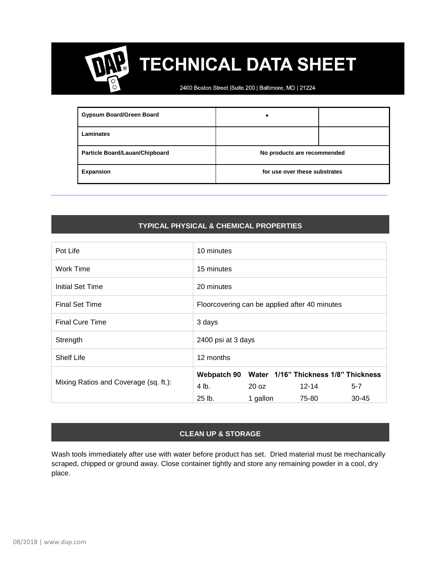2400 Boston Street | Suite 200 | Baltimore, MD | 21224

| <b>Gypsum Board/Green Board</b>       |                               |  |
|---------------------------------------|-------------------------------|--|
| Laminates                             |                               |  |
| <b>Particle Board/Lauan/Chipboard</b> | No products are recommended   |  |
| <b>Expansion</b>                      | for use over these substrates |  |

## **TYPICAL PHYSICAL & CHEMICAL PROPERTIES**

| Pot Life                              | 10 minutes                                          |  |  |
|---------------------------------------|-----------------------------------------------------|--|--|
| Work Time                             | 15 minutes                                          |  |  |
| Initial Set Time                      | 20 minutes                                          |  |  |
| <b>Final Set Time</b>                 | Floorcovering can be applied after 40 minutes       |  |  |
| <b>Final Cure Time</b>                | 3 days                                              |  |  |
| Strength                              | 2400 psi at 3 days                                  |  |  |
| <b>Shelf Life</b>                     | 12 months                                           |  |  |
| Mixing Ratios and Coverage (sq. ft.): | Water 1/16" Thickness 1/8" Thickness<br>Webpatch 90 |  |  |
|                                       | 4 lb.<br>$20 \text{ oz}$<br>$12 - 14$<br>$5 - 7$    |  |  |
|                                       | $25$ lb.<br>$30 - 45$<br>1 gallon<br>75-80          |  |  |

## **CLEAN UP & STORAGE**

Wash tools immediately after use with water before product has set. Dried material must be mechanically scraped, chipped or ground away. Close container tightly and store any remaining powder in a cool, dry place.